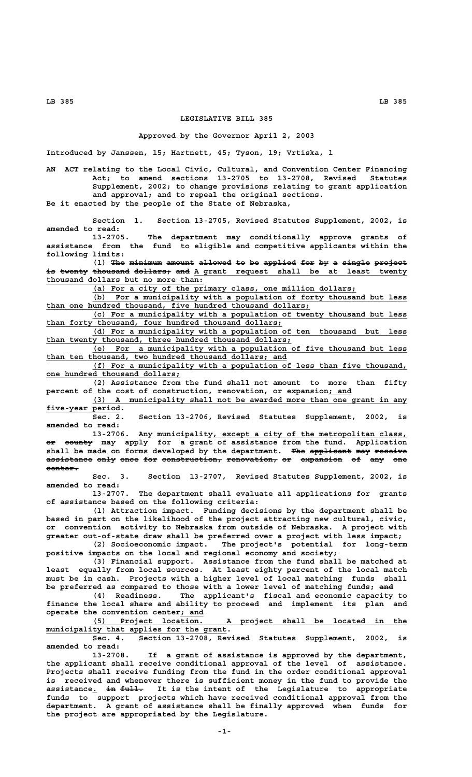## **LEGISLATIVE BILL 385**

## **Approved by the Governor April 2, 2003**

**Introduced by Janssen, 15; Hartnett, 45; Tyson, 19; Vrtiska, 1**

**AN ACT relating to the Local Civic, Cultural, and Convention Center Financing Act; to amend sections 13-2705 to 13-2708, Revised Statutes Supplement, 2002; to change provisions relating to grant application and approval; and to repeal the original sections. Be it enacted by the people of the State of Nebraska,**

**Section 1. Section 13-2705, Revised Statutes Supplement, 2002, is amended to read:**

**13-2705. The department may conditionally approve grants of assistance from the fund to eligible and competitive applicants within the following limits:**

(1) The minimum amount allowed to be applied for by a single project is twenty thousand dollars, and A grant request shall be at least twenty  **\_\_\_\_\_\_\_\_\_\_\_\_\_\_\_\_\_\_\_\_\_\_\_\_\_\_\_\_\_\_\_\_\_\_ thousand dollars but no more than:**

 **\_\_\_\_\_\_\_\_\_\_\_\_\_\_\_\_\_\_\_\_\_\_\_\_\_\_\_\_\_\_\_\_\_\_\_\_\_\_\_\_\_\_\_\_\_\_\_\_\_\_\_\_\_\_\_\_\_ (a) For a city of the primary class, one million dollars;**

 **\_\_\_\_\_\_\_\_\_\_\_\_\_\_\_\_\_\_\_\_\_\_\_\_\_\_\_\_\_\_\_\_\_\_\_\_\_\_\_\_\_\_\_\_\_\_\_\_\_\_\_\_\_\_\_\_\_\_\_\_\_\_\_\_\_\_\_\_ (b) For a municipality with a population of forty thousand but less \_\_\_\_\_\_\_\_\_\_\_\_\_\_\_\_\_\_\_\_\_\_\_\_\_\_\_\_\_\_\_\_\_\_\_\_\_\_\_\_\_\_\_\_\_\_\_\_\_\_\_\_\_\_\_\_\_ than one hundred thousand, five hundred thousand dollars;**

 **\_\_\_\_\_\_\_\_\_\_\_\_\_\_\_\_\_\_\_\_\_\_\_\_\_\_\_\_\_\_\_\_\_\_\_\_\_\_\_\_\_\_\_\_\_\_\_\_\_\_\_\_\_\_\_\_\_\_\_\_\_\_\_\_\_\_\_\_ (c) For a municipality with a population of twenty thousand but less \_\_\_\_\_\_\_\_\_\_\_\_\_\_\_\_\_\_\_\_\_\_\_\_\_\_\_\_\_\_\_\_\_\_\_\_\_\_\_\_\_\_\_\_\_\_\_\_\_\_\_ than forty thousand, four hundred thousand dollars;**

 **\_\_\_\_\_\_\_\_\_\_\_\_\_\_\_\_\_\_\_\_\_\_\_\_\_\_\_\_\_\_\_\_\_\_\_\_\_\_\_\_\_\_\_\_\_\_\_\_\_\_\_\_\_\_\_\_\_\_\_\_\_\_\_\_\_\_\_\_ (d) For a municipality with a population of ten thousand but less \_\_\_\_\_\_\_\_\_\_\_\_\_\_\_\_\_\_\_\_\_\_\_\_\_\_\_\_\_\_\_\_\_\_\_\_\_\_\_\_\_\_\_\_\_\_\_\_\_\_\_\_\_ than twenty thousand, three hundred thousand dollars;**

 **\_\_\_\_\_\_\_\_\_\_\_\_\_\_\_\_\_\_\_\_\_\_\_\_\_\_\_\_\_\_\_\_\_\_\_\_\_\_\_\_\_\_\_\_\_\_\_\_\_\_\_\_\_\_\_\_\_\_\_\_\_\_\_\_\_\_\_\_ (e) For a municipality with a population of five thousand but less \_\_\_\_\_\_\_\_\_\_\_\_\_\_\_\_\_\_\_\_\_\_\_\_\_\_\_\_\_\_\_\_\_\_\_\_\_\_\_\_\_\_\_\_\_\_\_\_\_\_\_\_ than ten thousand, two hundred thousand dollars; and**

 **\_\_\_\_\_\_\_\_\_\_\_\_\_\_\_\_\_\_\_\_\_\_\_\_\_\_\_\_\_\_\_\_\_\_\_\_\_\_\_\_\_\_\_\_\_\_\_\_\_\_\_\_\_\_\_\_\_\_\_\_\_\_\_\_\_\_\_\_ (f) For a municipality with a population of less than five thousand, \_\_\_\_\_\_\_\_\_\_\_\_\_\_\_\_\_\_\_\_\_\_\_\_\_\_\_\_\_ one hundred thousand dollars;**

**(2) Assistance from the fund shall not amount to more than fifty** percent of the cost of construction, renovation, or expansion; and

 **\_\_\_\_\_\_\_\_\_\_\_\_\_\_\_\_\_\_\_\_\_\_\_\_\_\_\_\_\_\_\_\_\_\_\_\_\_\_\_\_\_\_\_\_\_\_\_\_\_\_\_\_\_\_\_\_\_\_\_\_\_\_\_\_\_\_\_\_ (3) A municipality shall not be awarded more than one grant in any** five-year period.

**Sec. 2. Section 13-2706, Revised Statutes Supplement, 2002, is amended to read:**

 **\_\_\_\_\_\_\_\_\_\_\_\_\_\_\_\_\_\_\_\_\_\_\_\_\_\_\_\_\_\_\_\_\_\_\_\_\_\_\_\_\_\_ 13-2706. Any municipality, except a city of the metropolitan class, —— —————— or county may apply for a grant of assistance from the fund. Application** shall be made on forms developed by the department. The applicant may receive  $a$ ssistance only once for construction, renovation, or expansion of any one  **center. ———————**

**Sec. 3. Section 13-2707, Revised Statutes Supplement, 2002, is amended to read:**

**13-2707. The department shall evaluate all applications for grants of assistance based on the following criteria:**

**(1) Attraction impact. Funding decisions by the department shall be based in part on the likelihood of the project attracting new cultural, civic, or convention activity to Nebraska from outside of Nebraska. A project with greater out-of-state draw shall be preferred over a project with less impact;**

**(2) Socioeconomic impact. The project's potential for long-term positive impacts on the local and regional economy and society;**

**(3) Financial support. Assistance from the fund shall be matched at least equally from local sources. At least eighty percent of the local match must be in cash. Projects with a higher level of local matching funds shall** be preferred as compared to those with a lower level of matching funds; and

**(4) Readiness. The applicant's fiscal and economic capacity to finance the local share and ability to proceed and implement its plan and \_\_\_\_\_ operate the convention center; and**

 **\_\_\_\_\_\_\_\_\_\_\_\_\_\_\_\_\_\_\_\_\_\_\_\_\_\_\_\_\_\_\_\_\_\_\_\_\_\_\_\_\_\_\_\_\_\_\_\_\_\_\_\_\_\_\_\_\_\_\_\_\_\_\_\_\_\_\_\_ (5) Project location. A project shall be located in the**  $\frac{$ <u>municipality</u> that applies for the grant.

**Sec. 4. Section 13-2708, Revised Statutes Supplement, 2002, is amended to read:**

**13-2708. If a grant of assistance is approved by the department, the applicant shall receive conditional approval of the level of assistance. Projects shall receive funding from the fund in the order conditional approval is received and whenever there is sufficient money in the fund to provide the** assistance. in full. It is the intent of the Legislature to appropriate funds to support projects which have received conditional approval from the **department. A grant of assistance shall be finally approved when funds for the project are appropriated by the Legislature.**